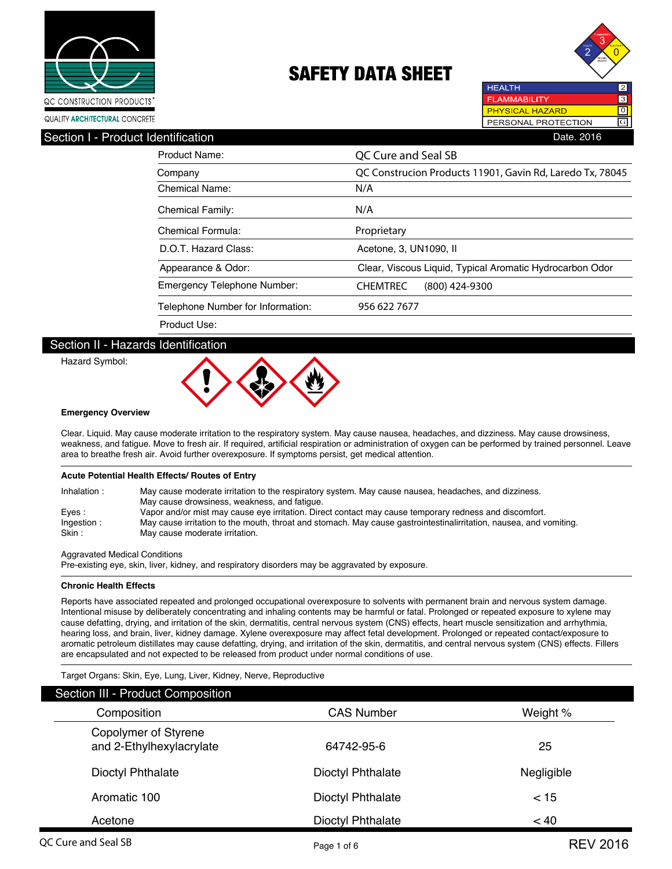



| Section I - Product Identification | Date. 2016                                                |  |  |
|------------------------------------|-----------------------------------------------------------|--|--|
| <b>Product Name:</b>               | QC Cure and Seal SB                                       |  |  |
| Company                            | QC Construcion Products 11901, Gavin Rd, Laredo Tx, 78045 |  |  |
| <b>Chemical Name:</b>              | N/A                                                       |  |  |
| <b>Chemical Family:</b>            | N/A                                                       |  |  |
| Chemical Formula:                  | Proprietary                                               |  |  |
| D.O.T. Hazard Class:               | Acetone, 3, UN1090, II                                    |  |  |
| Appearance & Odor:                 | Clear, Viscous Liquid, Typical Aromatic Hydrocarbon Odor  |  |  |
| <b>Emergency Telephone Number:</b> | <b>CHEMTREC</b><br>(800) 424-9300                         |  |  |
| Telephone Number for Information:  | 956 622 7677                                              |  |  |
| Product Use:                       |                                                           |  |  |

### Section II - Hazards Identification

Hazard Symbol:



#### **Emergency Overview**

Clear. Liquid. May cause moderate irritation to the respiratory system. May cause nausea, headaches, and dizziness. May cause drowsiness, weakness, and fatigue. Move to fresh air. If required, artificial respiration or administration of oxygen can be performed by trained personnel. Leave area to breathe fresh air. Avoid further overexposure. If symptoms persist, get medical attention.

#### **Acute Potential Health Effects/ Routes of Entry**

| Inhalation: | May cause moderate irritation to the respiratory system. May cause nausea, headaches, and dizziness.               |
|-------------|--------------------------------------------------------------------------------------------------------------------|
|             | May cause drowsiness, weakness, and fatique.                                                                       |
| Eves:       | Vapor and/or mist may cause eye irritation. Direct contact may cause temporary redness and discomfort.             |
| Ingestion:  | May cause irritation to the mouth, throat and stomach. May cause gastrointestinalirritation, nausea, and vomiting. |
| Skin:       | May cause moderate irritation.                                                                                     |

Aggravated Medical Conditions

Pre-existing eye, skin, liver, kidney, and respiratory disorders may be aggravated by exposure.

#### **Chronic Health Effects**

Reports have associated repeated and prolonged occupational overexposure to solvents with permanent brain and nervous system damage. Intentional misuse by deliberately concentrating and inhaling contents may be harmful or fatal. Prolonged or repeated exposure to xylene may cause defatting, drying, and irritation of the skin, dermatitis, central nervous system (CNS) effects, heart muscle sensitization and arrhythmia, hearing loss, and brain, liver, kidney damage. Xylene overexposure may affect fetal development. Prolonged or repeated contact/exposure to aromatic petroleum distillates may cause defatting, drying, and irritation of the skin, dermatitis, and central nervous system (CNS) effects. Fillers are encapsulated and not expected to be released from product under normal conditions of use.

Target Organs: Skin, Eye, Lung, Liver, Kidney, Nerve, Reproductive

| Section III - Product Composition                |                          |            |
|--------------------------------------------------|--------------------------|------------|
| Composition                                      | <b>CAS Number</b>        | Weight %   |
| Copolymer of Styrene<br>and 2-Ethylhexylacrylate | 64742-95-6               | 25         |
| Dioctyl Phthalate                                | <b>Dioctyl Phthalate</b> | Negligible |
| Aromatic 100                                     | <b>Dioctyl Phthalate</b> | $<$ 15     |
| Acetone                                          | <b>Dioctyl Phthalate</b> | < 40       |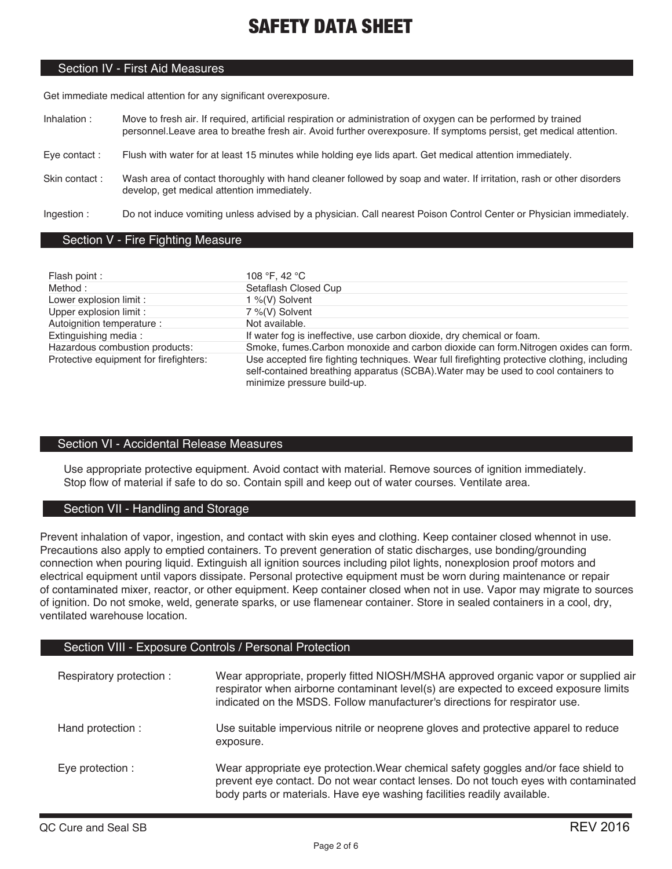### Section IV - First Aid Measures

Get immediate medical attention for any significant overexposure.

- Inhalation : Move to fresh air. If required, artificial respiration or administration of oxygen can be performed by trained personnel.Leave area to breathe fresh air. Avoid further overexposure. If symptoms persist, get medical attention.
- Eye contact : Flush with water for at least 15 minutes while holding eye lids apart. Get medical attention immediately.
- Skin contact : Wash area of contact thoroughly with hand cleaner followed by soap and water. If irritation, rash or other disorders develop, get medical attention immediately.

Ingestion : Do not induce vomiting unless advised by a physician. Call nearest Poison Control Center or Physician immediately.

### Section V - Fire Fighting Measure

| Flash point:                           | 108 °F, 42 °C                                                                                                                                                                                                     |
|----------------------------------------|-------------------------------------------------------------------------------------------------------------------------------------------------------------------------------------------------------------------|
| Method:                                | Setaflash Closed Cup                                                                                                                                                                                              |
| Lower explosion limit :                | 1 %(V) Solvent                                                                                                                                                                                                    |
| Upper explosion limit :                | 7 %(V) Solvent                                                                                                                                                                                                    |
| Autoignition temperature :             | Not available.                                                                                                                                                                                                    |
| Extinguishing media:                   | If water fog is ineffective, use carbon dioxide, dry chemical or foam.                                                                                                                                            |
| Hazardous combustion products:         | Smoke, fumes. Carbon monoxide and carbon dioxide can form. Nitrogen oxides can form.                                                                                                                              |
| Protective equipment for firefighters: | Use accepted fire fighting techniques. Wear full firefighting protective clothing, including<br>self-contained breathing apparatus (SCBA). Water may be used to cool containers to<br>minimize pressure build-up. |

### Section VI - Accidental Release Measures

Use appropriate protective equipment. Avoid contact with material. Remove sources of ignition immediately. Stop flow of material if safe to do so. Contain spill and keep out of water courses. Ventilate area.

### Section VII - Handling and Storage

Prevent inhalation of vapor, ingestion, and contact with skin eyes and clothing. Keep container closed whennot in use. Precautions also apply to emptied containers. To prevent generation of static discharges, use bonding/grounding connection when pouring liquid. Extinguish all ignition sources including pilot lights, nonexplosion proof motors and electrical equipment until vapors dissipate. Personal protective equipment must be worn during maintenance or repair of contaminated mixer, reactor, or other equipment. Keep container closed when not in use. Vapor may migrate to sources of ignition. Do not smoke, weld, generate sparks, or use flamenear container. Store in sealed containers in a cool, dry, ventilated warehouse location.

### Section VIII - Exposure Controls / Personal Protection

| Respiratory protection : | Wear appropriate, properly fitted NIOSH/MSHA approved organic vapor or supplied air<br>respirator when airborne contaminant level(s) are expected to exceed exposure limits<br>indicated on the MSDS. Follow manufacturer's directions for respirator use. |
|--------------------------|------------------------------------------------------------------------------------------------------------------------------------------------------------------------------------------------------------------------------------------------------------|
| Hand protection :        | Use suitable impervious nitrile or neoprene gloves and protective apparel to reduce<br>exposure.                                                                                                                                                           |
| Eve protection :         | Wear appropriate eye protection. Wear chemical safety goggles and/or face shield to<br>prevent eye contact. Do not wear contact lenses. Do not touch eyes with contaminated<br>body parts or materials. Have eye washing facilities readily available.     |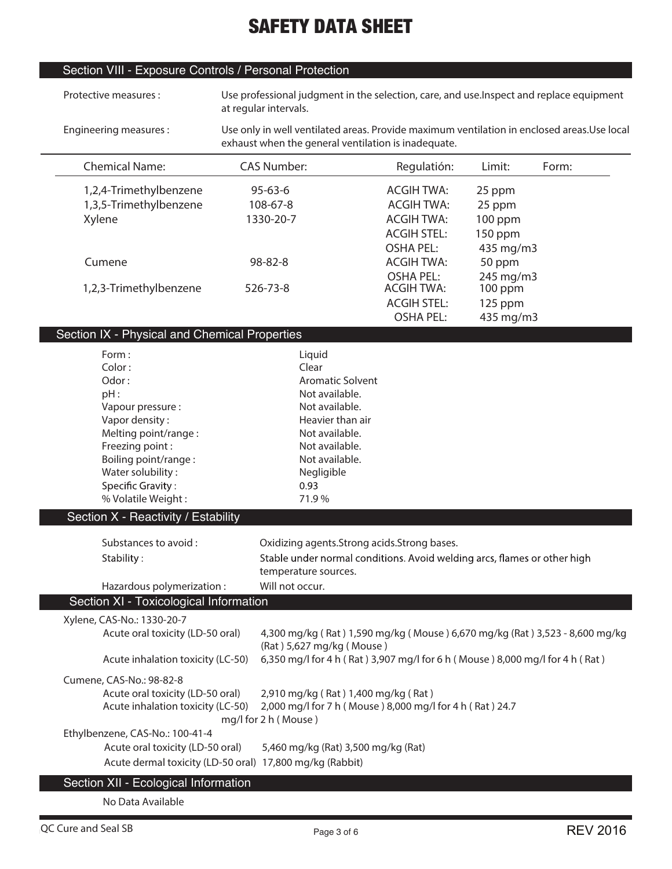## Section VIII - Exposure Controls / Personal Protection

| Protective measures:                                     | at regular intervals. |                                                                              |                    |           | Use professional judgment in the selection, care, and use. Inspect and replace equipment    |
|----------------------------------------------------------|-----------------------|------------------------------------------------------------------------------|--------------------|-----------|---------------------------------------------------------------------------------------------|
| Engineering measures:                                    |                       | exhaust when the general ventilation is inadequate.                          |                    |           | Use only in well ventilated areas. Provide maximum ventilation in enclosed areas. Use local |
| <b>Chemical Name:</b>                                    | <b>CAS Number:</b>    |                                                                              | Regulatión:        | Limit:    | Form:                                                                                       |
| 1,2,4-Trimethylbenzene                                   | $95 - 63 - 6$         |                                                                              | <b>ACGIH TWA:</b>  | 25 ppm    |                                                                                             |
| 1,3,5-Trimethylbenzene                                   | 108-67-8              |                                                                              | <b>ACGIH TWA:</b>  | 25 ppm    |                                                                                             |
| Xylene                                                   | 1330-20-7             |                                                                              | <b>ACGIH TWA:</b>  | 100 ppm   |                                                                                             |
|                                                          |                       |                                                                              | <b>ACGIH STEL:</b> | 150 ppm   |                                                                                             |
|                                                          |                       |                                                                              | <b>OSHA PEL:</b>   | 435 mg/m3 |                                                                                             |
| Cumene                                                   | 98-82-8               |                                                                              | <b>ACGIH TWA:</b>  | 50 ppm    |                                                                                             |
|                                                          |                       |                                                                              | <b>OSHA PEL:</b>   | 245 mg/m3 |                                                                                             |
| 1,2,3-Trimethylbenzene                                   | 526-73-8              |                                                                              | <b>ACGIH TWA:</b>  | 100 ppm   |                                                                                             |
|                                                          |                       |                                                                              | <b>ACGIH STEL:</b> | 125 ppm   |                                                                                             |
|                                                          |                       |                                                                              | <b>OSHA PEL:</b>   | 435 mg/m3 |                                                                                             |
| Section IX - Physical and Chemical Properties            |                       |                                                                              |                    |           |                                                                                             |
| Form:                                                    |                       | Liquid                                                                       |                    |           |                                                                                             |
| Color:                                                   |                       | Clear                                                                        |                    |           |                                                                                             |
| Odor:                                                    |                       | <b>Aromatic Solvent</b>                                                      |                    |           |                                                                                             |
| pH:                                                      |                       | Not available.                                                               |                    |           |                                                                                             |
| Vapour pressure :                                        |                       | Not available.                                                               |                    |           |                                                                                             |
| Vapor density:                                           |                       | Heavier than air                                                             |                    |           |                                                                                             |
| Melting point/range:                                     |                       | Not available.                                                               |                    |           |                                                                                             |
| Freezing point:                                          |                       | Not available.                                                               |                    |           |                                                                                             |
| Boiling point/range:                                     |                       | Not available.                                                               |                    |           |                                                                                             |
| Water solubility:                                        |                       | Negligible                                                                   |                    |           |                                                                                             |
| Specific Gravity:                                        |                       | 0.93                                                                         |                    |           |                                                                                             |
| % Volatile Weight:                                       |                       | 71.9%                                                                        |                    |           |                                                                                             |
| Section X - Reactivity / Estability                      |                       |                                                                              |                    |           |                                                                                             |
| Substances to avoid:                                     |                       | Oxidizing agents. Strong acids. Strong bases.                                |                    |           |                                                                                             |
|                                                          |                       | Stable under normal conditions. Avoid welding arcs, flames or other high     |                    |           |                                                                                             |
| Stability:                                               |                       | temperature sources.                                                         |                    |           |                                                                                             |
| Hazardous polymerization:                                | Will not occur.       |                                                                              |                    |           |                                                                                             |
| Section XI - Toxicological Information                   |                       |                                                                              |                    |           |                                                                                             |
| Xylene, CAS-No.: 1330-20-7                               |                       |                                                                              |                    |           |                                                                                             |
| Acute oral toxicity (LD-50 oral)                         |                       |                                                                              |                    |           | 4,300 mg/kg (Rat) 1,590 mg/kg (Mouse) 6,670 mg/kg (Rat) 3,523 - 8,600 mg/kg                 |
|                                                          |                       | (Rat) 5,627 mg/kg (Mouse)                                                    |                    |           |                                                                                             |
| Acute inhalation toxicity (LC-50)                        |                       | 6,350 mg/l for 4 h (Rat) 3,907 mg/l for 6 h (Mouse) 8,000 mg/l for 4 h (Rat) |                    |           |                                                                                             |
|                                                          |                       |                                                                              |                    |           |                                                                                             |
| Cumene, CAS-No.: 98-82-8                                 |                       |                                                                              |                    |           |                                                                                             |
| Acute oral toxicity (LD-50 oral)                         |                       | 2,910 mg/kg (Rat) 1,400 mg/kg (Rat)                                          |                    |           |                                                                                             |
| Acute inhalation toxicity (LC-50)                        |                       | 2,000 mg/l for 7 h (Mouse) 8,000 mg/l for 4 h (Rat) 24.7                     |                    |           |                                                                                             |
|                                                          | mg/l for 2 h (Mouse)  |                                                                              |                    |           |                                                                                             |
| Ethylbenzene, CAS-No.: 100-41-4                          |                       |                                                                              |                    |           |                                                                                             |
| Acute oral toxicity (LD-50 oral)                         |                       | 5,460 mg/kg (Rat) 3,500 mg/kg (Rat)                                          |                    |           |                                                                                             |
| Acute dermal toxicity (LD-50 oral) 17,800 mg/kg (Rabbit) |                       |                                                                              |                    |           |                                                                                             |
| Section XII - Ecological Information                     |                       |                                                                              |                    |           |                                                                                             |

**No Data Available**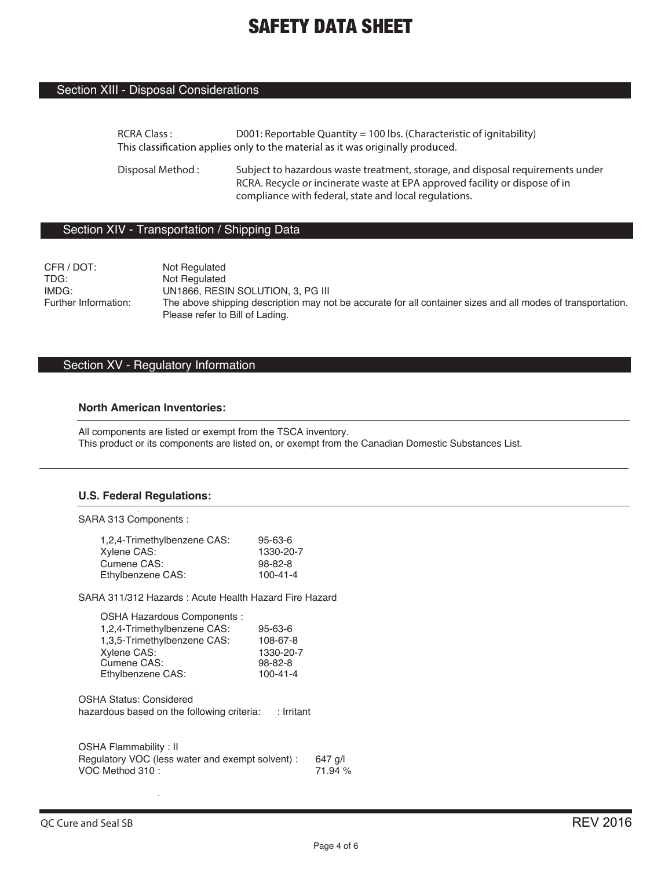### Section XIII - Disposal Considerations

**RCRA Class : D001: Reportable Quantity = 100 lbs. (Characteristic of ignitability)** This classification applies only to the material as it was originally produced.

**Disposal Method : Subject to hazardous waste treatment, storage, and disposal requirements under RCRA. Recycle or incinerate waste at EPA approved facility or dispose of in compliance with federal, state and local regulations.**

### Section XIV - Transportation / Shipping Data

CFR / DOT: Not Regulated<br>
TDG: Not Regulated TDG: Not Regulated<br>
IMDG: UN1866. RESI IMDG: UN1866, RESIN SOLUTION, 3, PG III<br>Further Information: The above shipping description may no The above shipping description may not be accurate for all container sizes and all modes of transportation. Please refer to Bill of Lading.

### Section XV - Regulatory Information

### **North American Inventories:**

All components are listed or exempt from the TSCA inventory. This product or its components are listed on, or exempt from the Canadian Domestic Substances List.

#### **U.S. Federal Regulations:**

SARA 313 Components :

| 1,2,4-Trimethylbenzene CAS: | $95 - 63 - 6$  |
|-----------------------------|----------------|
| Xylene CAS:                 | 1330-20-7      |
| Cumene CAS:                 | $98 - 82 - 8$  |
| Ethylbenzene CAS:           | $100 - 41 - 4$ |

SARA 311/312 Hazards : Acute Health Hazard Fire Hazard

| OSHA Hazardous Components :                  |  |
|----------------------------------------------|--|
| 1,2,4-Trimethylbenzene CAS:<br>$95 - 63 - 6$ |  |
| 108-67-8<br>1,3,5-Trimethylbenzene CAS:      |  |
| 1330-20-7<br>Xylene CAS:                     |  |
| Cumene CAS:<br>98-82-8                       |  |
| $100 - 41 - 4$<br>Ethylbenzene CAS:          |  |

OSHA Status: Considered hazardous based on the following criteria: : Irritant

| OSHA Flammability: II                           |         |
|-------------------------------------------------|---------|
| Regulatory VOC (less water and exempt solvent): | 647 a/l |
| VOC Method 310:                                 | 71.94 % |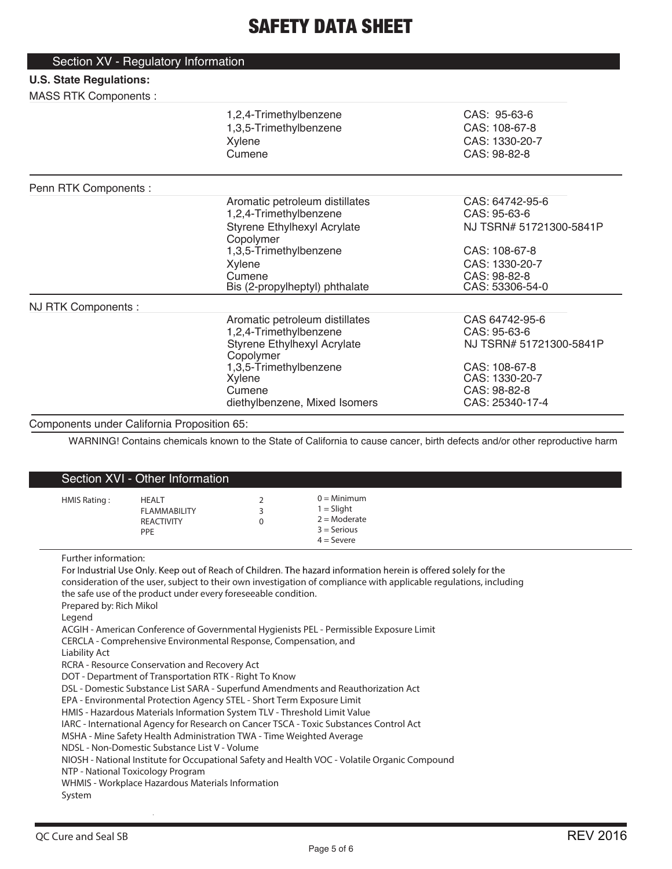| Section XV - Regulatory Information |                                          |                         |
|-------------------------------------|------------------------------------------|-------------------------|
| <b>U.S. State Regulations:</b>      |                                          |                         |
| <b>MASS RTK Components:</b>         |                                          |                         |
|                                     | 1,2,4-Trimethylbenzene                   | CAS: 95-63-6            |
|                                     | 1,3,5-Trimethylbenzene                   | CAS: 108-67-8           |
|                                     | Xylene                                   | CAS: 1330-20-7          |
|                                     | Cumene                                   | CAS: 98-82-8            |
| Penn RTK Components :               |                                          |                         |
|                                     | Aromatic petroleum distillates           | CAS: 64742-95-6         |
|                                     | 1,2,4-Trimethylbenzene                   | CAS: 95-63-6            |
|                                     | Styrene Ethylhexyl Acrylate<br>Copolymer | NJ TSRN# 51721300-5841P |
|                                     | 1,3,5-Trimethylbenzene                   | CAS: 108-67-8           |
|                                     | Xylene                                   | CAS: 1330-20-7          |
|                                     | Cumene                                   | CAS: 98-82-8            |
|                                     | Bis (2-propylheptyl) phthalate           | CAS: 53306-54-0         |
| NJ RTK Components :                 |                                          |                         |
|                                     | Aromatic petroleum distillates           | CAS 64742-95-6          |
|                                     | 1,2,4-Trimethylbenzene                   | CAS: 95-63-6            |
|                                     | Styrene Ethylhexyl Acrylate<br>Copolymer | NJ TSRN# 51721300-5841P |
|                                     | 1,3,5-Trimethylbenzene                   | CAS: 108-67-8           |
|                                     | Xylene                                   | CAS: 1330-20-7          |
|                                     | Cumene                                   | CAS: 98-82-8            |
|                                     | diethylbenzene, Mixed Isomers            | CAS: 25340-17-4         |

### Components under California Proposition 65:

WARNING! Contains chemicals known to the State of California to cause cancer, birth defects and/or other reproductive harm

| Section XVI - Other Information                                                      |                                                                                                                                                                                                                                                                                                                                                                                                                                                                                                                                                                                                                                                                                                                                                                                                        |                    |                                                                                                                                                                                                                                                                                                                                                                                                                                   |
|--------------------------------------------------------------------------------------|--------------------------------------------------------------------------------------------------------------------------------------------------------------------------------------------------------------------------------------------------------------------------------------------------------------------------------------------------------------------------------------------------------------------------------------------------------------------------------------------------------------------------------------------------------------------------------------------------------------------------------------------------------------------------------------------------------------------------------------------------------------------------------------------------------|--------------------|-----------------------------------------------------------------------------------------------------------------------------------------------------------------------------------------------------------------------------------------------------------------------------------------------------------------------------------------------------------------------------------------------------------------------------------|
| HMIS Rating:                                                                         | <b>HEALT</b><br><b>FLAMMABILITY</b><br><b>REACTIVITY</b><br>PPE                                                                                                                                                                                                                                                                                                                                                                                                                                                                                                                                                                                                                                                                                                                                        | 2<br>3<br>$\Omega$ | $0 =$ Minimum<br>$1 =$ Slight<br>$2 =$ Moderate<br>$3 =$ Serious<br>$4 =$ Severe                                                                                                                                                                                                                                                                                                                                                  |
| Further information:<br>Prepared by: Rich Mikol<br>Legend<br>Liability Act<br>System | the safe use of the product under every foreseeable condition.<br>CERCLA - Comprehensive Environmental Response, Compensation, and<br>RCRA - Resource Conservation and Recovery Act<br>DOT - Department of Transportation RTK - Right To Know<br>DSL - Domestic Substance List SARA - Superfund Amendments and Reauthorization Act<br>EPA - Environmental Protection Agency STEL - Short Term Exposure Limit<br>HMIS - Hazardous Materials Information System TLV - Threshold Limit Value<br>IARC - International Agency for Research on Cancer TSCA - Toxic Substances Control Act<br>MSHA - Mine Safety Health Administration TWA - Time Weighted Average<br>NDSL - Non-Domestic Substance List V - Volume<br>NTP - National Toxicology Program<br>WHMIS - Workplace Hazardous Materials Information |                    | For Industrial Use Only. Keep out of Reach of Children. The hazard information herein is offered solely for the<br>consideration of the user, subject to their own investigation of compliance with applicable regulations, including<br>ACGIH - American Conference of Governmental Hygienists PEL - Permissible Exposure Limit<br>NIOSH - National Institute for Occupational Safety and Health VOC - Volatile Organic Compound |